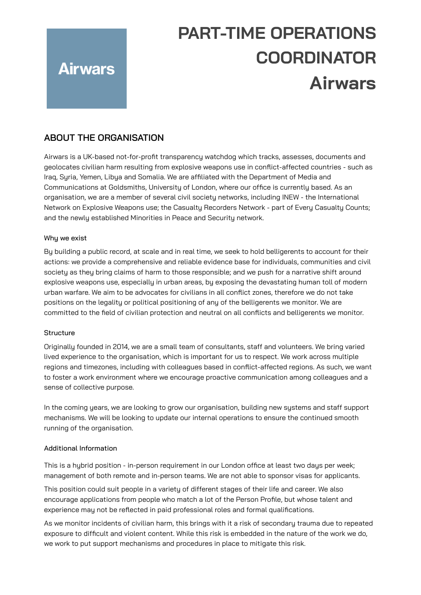# **PART-TIME OPERATIONS COORDINATOR Airwars**

# **ABOUT THE ORGANISATION**

**Airwars** 

Airwars is a UK-based not-for-profit transparency watchdog which tracks, assesses, documents and geolocates civilian harm resulting from explosive weapons use in conflict-affected countries - such as Iraq, Syria, Yemen, Libya and Somalia. We are affiliated with the Department of Media and Communications at Goldsmiths, University of London, where our office is currently based. As an organisation, we are a member of several civil society networks, including INEW - the International Network on Explosive Weapons use; the Casualty Recorders Network - part of Every Casualty Counts; and the newly established Minorities in Peace and Security network.

#### Why we exist

By building a public record, at scale and in real time, we seek to hold belligerents to account for their actions: we provide a comprehensive and reliable evidence base for individuals, communities and civil society as they bring claims of harm to those responsible; and we push for a narrative shift around explosive weapons use, especially in urban areas, by exposing the devastating human toll of modern urban warfare. We aim to be advocates for civilians in all conflict zones, therefore we do not take positions on the legality or political positioning of any of the belligerents we monitor. We are committed to the field of civilian protection and neutral on all conflicts and belligerents we monitor.

#### **Structure**

Originally founded in 2014, we are a small team of consultants, staff and volunteers. We bring varied lived experience to the organisation, which is important for us to respect. We work across multiple regions and timezones, including with colleagues based in conflict-affected regions. As such, we want to foster a work environment where we encourage proactive communication among colleagues and a sense of collective purpose.

In the coming years, we are looking to grow our organisation, building new systems and staff support mechanisms. We will be looking to update our internal operations to ensure the continued smooth running of the organisation.

#### Additional Information

This is a hybrid position - in-person requirement in our London office at least two days per week; management of both remote and in-person teams. We are not able to sponsor visas for applicants.

This position could suit people in a variety of different stages of their life and career. We also encourage applications from people who match a lot of the Person Profile, but whose talent and experience may not be reflected in paid professional roles and formal qualifications.

As we monitor incidents of civilian harm, this brings with it a risk of secondary trauma due to repeated exposure to difficult and violent content. While this risk is embedded in the nature of the work we do, we work to put support mechanisms and procedures in place to mitigate this risk.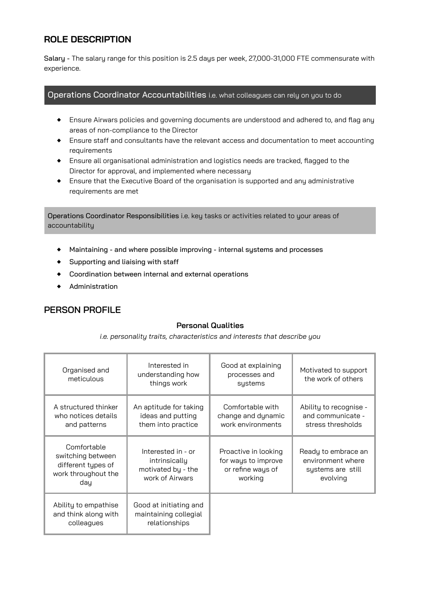# **ROLE DESCRIPTION**

Salary - The salary range for this position is 2.5 days per week, 27,000-31,000 FTE commensurate with experience.

#### Operations Coordinator Accountabilities i.e. what colleagues can rely on you to do

- ◆ Ensure Airwars policies and governing documents are understood and adhered to, and flag any areas of non-compliance to the Director
- ◆ Ensure staff and consultants have the relevant access and documentation to meet accounting requirements
- ◆ Ensure all organisational administration and logistics needs are tracked, flagged to the Director for approval, and implemented where necessary
- ◆ Ensure that the Executive Board of the organisation is supported and any administrative requirements are met

Operations Coordinator Responsibilities i.e. key tasks or activities related to your areas of accountability

- ◆ Maintaining and where possible improving internal systems and processes
- ◆ Supporting and liaising with staff
- ◆ Coordination between internal and external operations
- ◆ Administration

### **PERSON PROFILE**

#### **Personal Qualities**

*i.e. personality traits, characteristics and interests that describe you*

| Organised and<br>meticulous                                                          | Interested in<br>understanding how<br>things work                            | Good at explaining<br>processes and<br>systems                              | Motivated to support<br>the work of others                                |
|--------------------------------------------------------------------------------------|------------------------------------------------------------------------------|-----------------------------------------------------------------------------|---------------------------------------------------------------------------|
| A structured thinker<br>who notices details<br>and patterns                          | An aptitude for taking<br>ideas and putting<br>them into practice            | Comfortable with<br>change and dynamic<br>work environments                 | Ability to recognise -<br>and communicate -<br>stress thresholds          |
| Comfortable<br>switching between<br>different types of<br>work throughout the<br>day | Interested in - or<br>intrinsically<br>motivated by - the<br>work of Airwars | Proactive in looking<br>for ways to improve<br>or refine ways of<br>working | Ready to embrace an<br>environment where<br>systems are still<br>evolving |
| Ability to empathise<br>and think along with<br>colleagues                           | Good at initiating and<br>maintaining collegial<br>relationships             |                                                                             |                                                                           |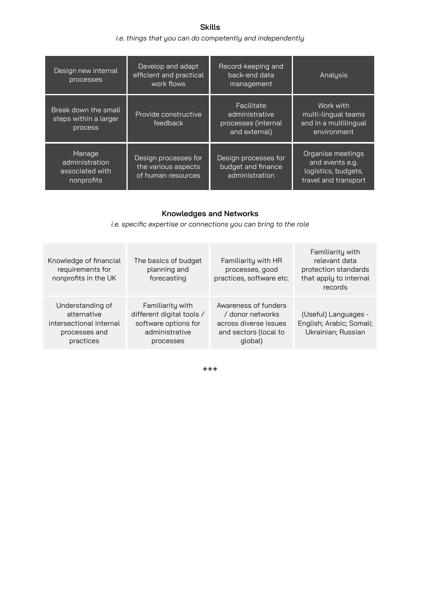**Skills** *i.e. things that you can do competently and independently*

| Design new internal<br>processes                          | Develop and adapt<br>efficient and practical<br>work flows        | Record-keeping and<br>back-end data<br>management                    | Analysis                                                                            |
|-----------------------------------------------------------|-------------------------------------------------------------------|----------------------------------------------------------------------|-------------------------------------------------------------------------------------|
| Break down the small<br>steps within a larger<br>process  | Provide constructive<br>feedback                                  | Facilitate<br>administrative<br>processes (internal<br>and external) | Work with<br>multi-lingual teams<br>and in a multilingual<br>environment            |
| Manage<br>administration<br>associated with<br>nonprofits | Design processes for<br>the various aspects<br>of human resources | Design processes for<br>budget and finance<br>administration         | Organise meetings<br>and events e.g.<br>logistics, budgets,<br>travel and transport |

## **Knowledges and Networks**

*i.e. specific expertise or connections you can bring to the role*

| Knowledge of financial<br>requirements for<br>nonprofits in the UK                       | The basics of budget<br>planning and<br>forecasting                                                  | Familiarity with HR<br>processes, good<br>practices, software etc.                                    | Familiarity with<br>relevant data<br>protection standards<br>that apply to internal<br>records |
|------------------------------------------------------------------------------------------|------------------------------------------------------------------------------------------------------|-------------------------------------------------------------------------------------------------------|------------------------------------------------------------------------------------------------|
| Understanding of<br>alternative<br>intersectional internal<br>processes and<br>practices | Familiarity with<br>different digital tools /<br>software options for<br>administrative<br>processes | Awareness of funders<br>/ donor networks<br>across diverse issues<br>and sectors (local to<br>global) | (Useful) Languages -<br>English; Arabic; Somali;<br>Ukrainian; Russian                         |

◈◈◈